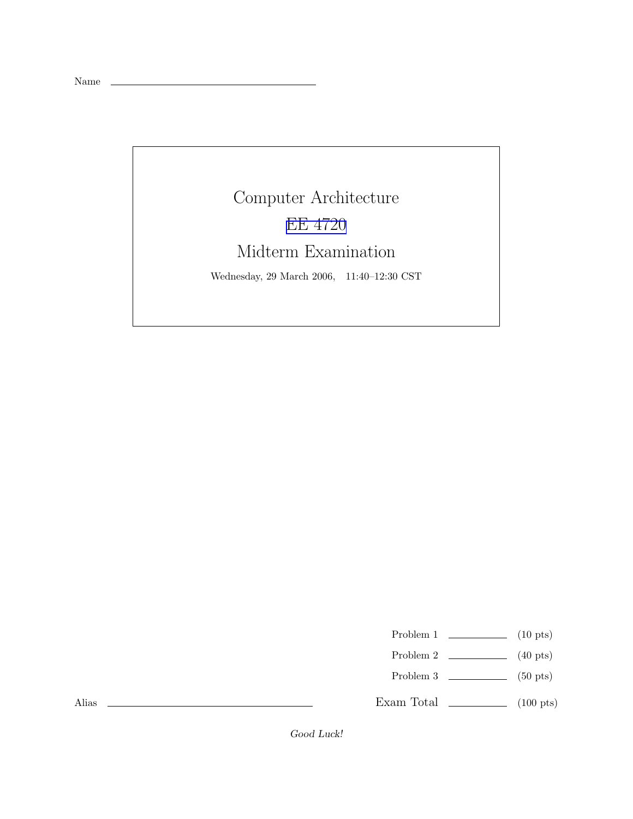Name

## Computer Architecture EE [4720](http://www.ece.lsu.edu/ee4720/) Midterm Examination

Wednesday, 29 March 2006, 11:40–12:30 CST

Problem 1  $\qquad \qquad$  (10 pts)

- Problem 2  $\qquad \qquad$  (40 pts)
- Problem 3  $\qquad \qquad$  (50 pts)

Exam Total  $\qquad \qquad$  (100 pts)

Alias

Good Luck!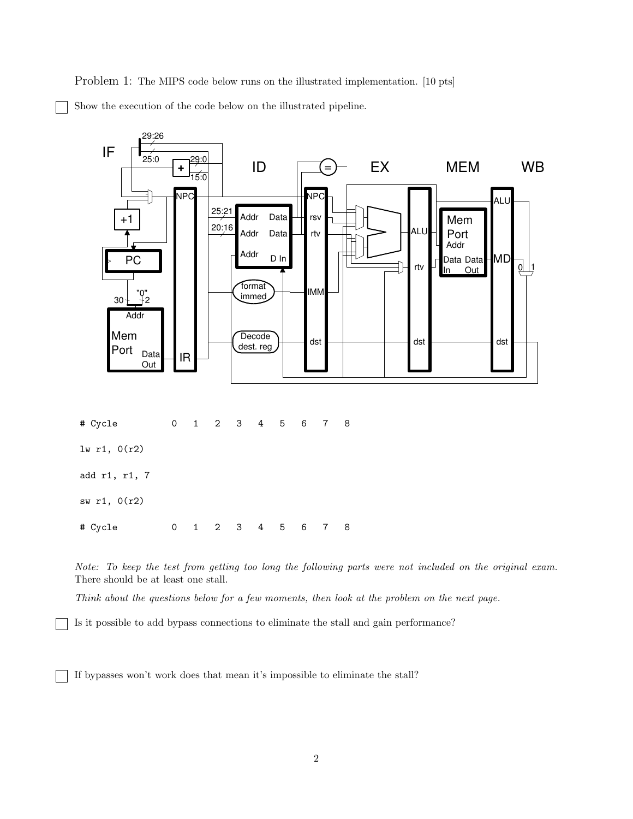Problem 1: The MIPS code below runs on the illustrated implementation. [10 pts] Show the execution of the code below on the illustrated pipeline.



Note: To keep the test from getting too long the following parts were not included on the original exam. There should be at least one stall.

Think about the questions below for a few moments, then look at the problem on the next page.

Is it possible to add bypass connections to eliminate the stall and gain performance?

If bypasses won't work does that mean it's impossible to eliminate the stall?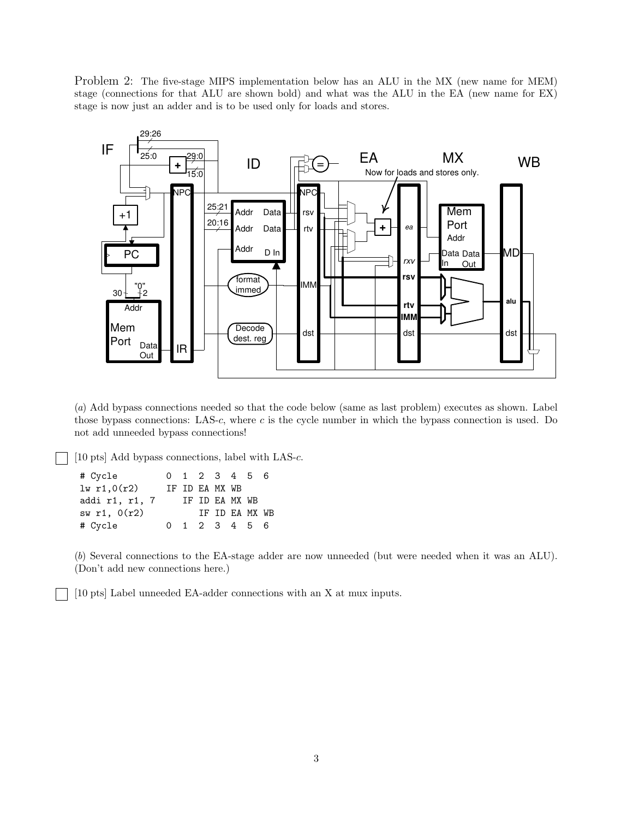Problem 2: The five-stage MIPS implementation below has an ALU in the MX (new name for MEM) stage (connections for that ALU are shown bold) and what was the ALU in the EA (new name for EX) stage is now just an adder and is to be used only for loads and stores.



(a) Add bypass connections needed so that the code below (same as last problem) executes as shown. Label those bypass connections: LAS-c, where c is the cycle number in which the bypass connection is used. Do not add unneeded bypass connections!

[10 pts] Add bypass connections, label with LAS-c.

| # Cycle        |  | 0 1 2 3 4 5 6  |                |  |  |
|----------------|--|----------------|----------------|--|--|
| 1w r1,0(r2)    |  | IF ID EA MX WB |                |  |  |
| addi r1, r1, 7 |  | IF ID EA MX WB |                |  |  |
| sw $r1, 0(r2)$ |  |                | IF ID EA MX WB |  |  |
| # Cycle        |  | 0 1 2 3 4 5 6  |                |  |  |

(b) Several connections to the EA-stage adder are now unneeded (but were needed when it was an ALU). (Don't add new connections here.)

[10 pts] Label unneeded EA-adder connections with an X at mux inputs.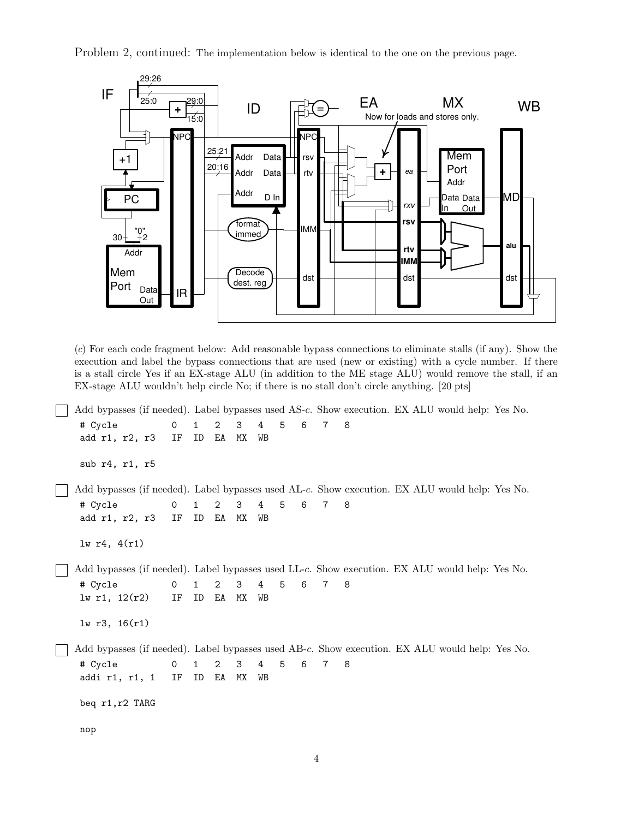Problem 2, continued: The implementation below is identical to the one on the previous page.



(c) For each code fragment below: Add reasonable bypass connections to eliminate stalls (if any). Show the execution and label the bypass connections that are used (new or existing) with a cycle number. If there is a stall circle Yes if an EX-stage ALU (in addition to the ME stage ALU) would remove the stall, if an EX-stage ALU wouldn't help circle No; if there is no stall don't circle anything. [20 pts]

Add bypasses (if needed). Label bypasses used AS-c. Show execution. EX ALU would help: Yes No. # Cycle 0 1 2 3 4 5 6 7 8 add r1, r2, r3 IF ID EA MX WB sub r4, r1, r5 Add bypasses (if needed). Label bypasses used AL-c. Show execution. EX ALU would help: Yes No. # Cycle 0 1 2 3 4 5 6 7 8 add r1, r2, r3 IF ID EA MX WB lw r4, 4(r1) Add bypasses (if needed). Label bypasses used LL-c. Show execution. EX ALU would help: Yes No. # Cycle 0 1 2 3 4 5 6 7 8 lw r1, 12(r2) IF ID EA MX WB lw r3, 16(r1) Add bypasses (if needed). Label bypasses used AB-c. Show execution. EX ALU would help: Yes No. # Cycle 0 1 2 3 4 5 6 7 8 addi r1, r1, 1 IF ID EA MX WB beq r1,r2 TARG nop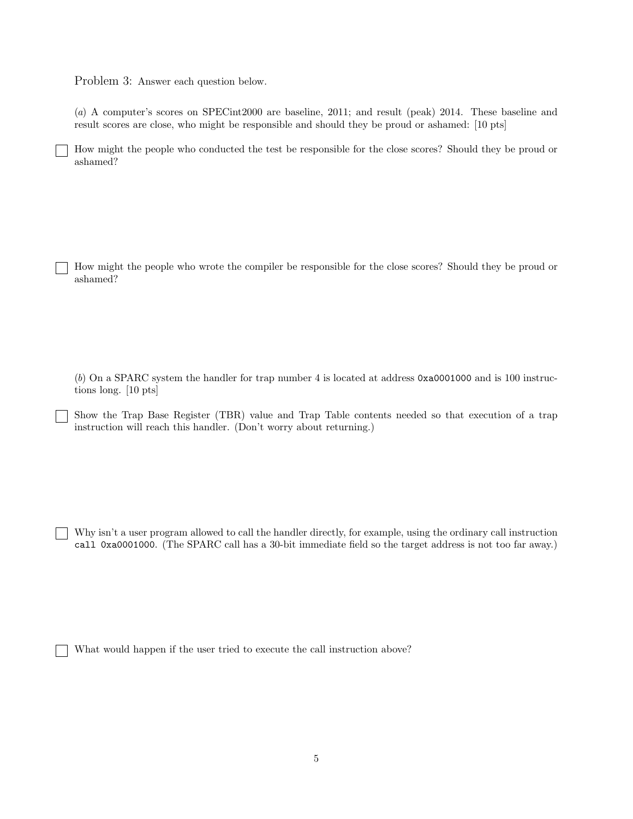Problem 3: Answer each question below.

(a) A computer's scores on SPECint2000 are baseline, 2011; and result (peak) 2014. These baseline and result scores are close, who might be responsible and should they be proud or ashamed: [10 pts]

How might the people who conducted the test be responsible for the close scores? Should they be proud or ashamed?

How might the people who wrote the compiler be responsible for the close scores? Should they be proud or ashamed?

(b) On a SPARC system the handler for trap number 4 is located at address 0xa0001000 and is 100 instructions long. [10 pts]

Show the Trap Base Register (TBR) value and Trap Table contents needed so that execution of a trap instruction will reach this handler. (Don't worry about returning.)

Why isn't a user program allowed to call the handler directly, for example, using the ordinary call instruction call 0xa0001000. (The SPARC call has a 30-bit immediate field so the target address is not too far away.)

What would happen if the user tried to execute the call instruction above?